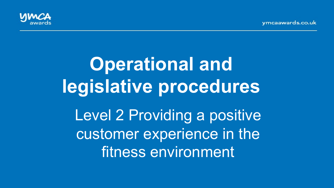vmcaawards.co.uk



# **Operational and legislative procedures**  Level 2 Providing a positive customer experience in the fitness environment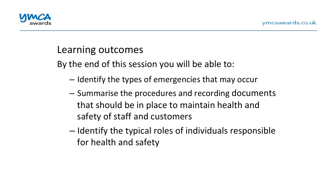

#### Learning outcomes

By the end of this session you will be able to:

- $-$  Identify the types of emergencies that may occur
- $-$  Summarise the procedures and recording documents that should be in place to maintain health and safety of staff and customers
- $-$  Identify the typical roles of individuals responsible for health and safety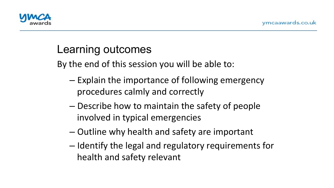

# Learning outcomes

By the end of this session you will be able to:

- $-$  Explain the importance of following emergency procedures calmly and correctly
- Describe how to maintain the safety of people involved in typical emergencies
- Outline why health and safety are important
- $-$  Identify the legal and regulatory requirements for health and safety relevant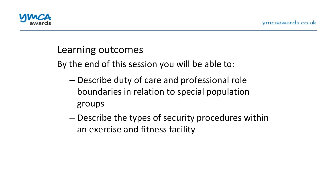

#### Learning outcomes

By the end of this session you will be able to:

- Describe duty of care and professional role boundaries in relation to special population groups
- $-$  Describe the types of security procedures within an exercise and fitness facility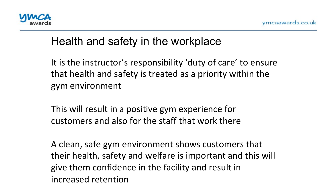

### Health and safety in the workplace

'<br>، It is the instructor's responsibility 'duty of care' to ensure that health and safety is treated as a priority within the gym environment 

This will result in a positive gym experience for customers and also for the staff that work there

A clean, safe gym environment shows customers that their health, safety and welfare is important and this will give them confidence in the facility and result in increased retention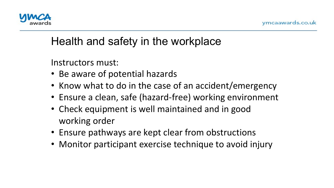

## Health and safety in the workplace

Instructors must: 

- -י<br>] • Be aware of potential hazards
- Know what to do in the case of an accident/emergency
- Ensure a clean, safe (hazard-free) working environment
- Check equipment is well maintained and in good working order
- Ensure pathways are kept clear from obstructions
- Monitor participant exercise technique to avoid injury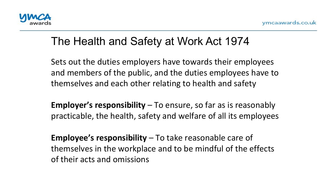

### The Health and Safety at Work Act 1974

-<br>า Sets out the duties employers have towards their employees and members of the public, and the duties employees have to themselves and each other relating to health and safety

**Employer's responsibility** – To ensure, so far as is reasonably practicable, the health, safety and welfare of all its employees

**Employee's responsibility** – To take reasonable care of themselves in the workplace and to be mindful of the effects of their acts and omissions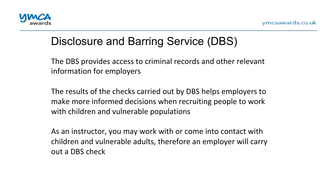

# Disclosure and Barring Service (DBS)

information for employers The DBS provides access to criminal records and other relevant

The results of the checks carried out by DBS helps employers to make more informed decisions when recruiting people to work with children and vulnerable populations

As an instructor, you may work with or come into contact with children and vulnerable adults, therefore an employer will carry out a DBS check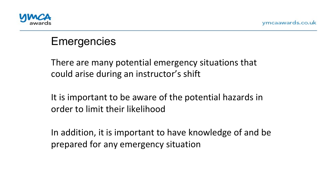

#### **Emergencies**

. .<br>^ There are many potential emergency situations that could arise during an instructor's shift

It is important to be aware of the potential hazards in order to limit their likelihood

In addition, it is important to have knowledge of and be prepared for any emergency situation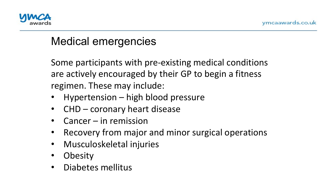

# Medical emergencies

ں<br>س Some participants with pre-existing medical conditions are actively encouraged by their GP to begin a fitness regimen. These may include:

- Hypertension high blood pressure
- $CHD$  coronary heart disease
- $Cancer in$  remission
- Recovery from major and minor surgical operations
- Musculoskeletal injuries
- Obesity
- Diabetes mellitus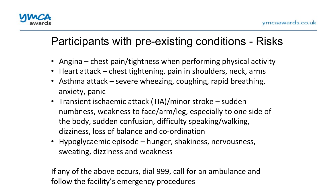

# Participants with pre-existing conditions - Risks

- Angina  $-$  chest pain/tightness when performing physical activity
- Heart attack chest tightening, pain in shoulders, neck, arms
- Asthma attack  $-$  severe wheezing, coughing, rapid breathing, anxiety, panic
- Transient ischaemic attack (TIA)/minor stroke sudden numbness, weakness to face/arm/leg, especially to one side of the body, sudden confusion, difficulty speaking/walking, dizziness, loss of balance and co-ordination
- Hypoglycaemic episode hunger, shakiness, nervousness, sweating, dizziness and weakness

If any of the above occurs, dial 999, call for an ambulance and follow the facility's emergency procedures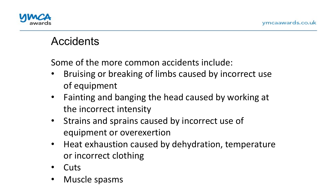

#### **Accidents**

Some of the more common accidents include:

- $\overline{\phantom{a}}$ Bruising or breaking of limbs caused by incorrect use of equipment
- Fainting and banging the head caused by working at the incorrect intensity
- Strains and sprains caused by incorrect use of equipment or overexertion
- Heat exhaustion caused by dehydration, temperature or incorrect clothing
- Cuts
- Muscle spasms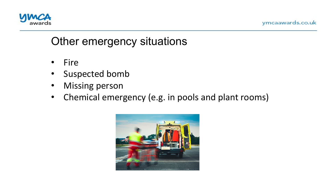



# Other emergency situations

- Fire
- Suspected bomb
- Missing person
- Chemical emergency (e.g. in pools and plant rooms)

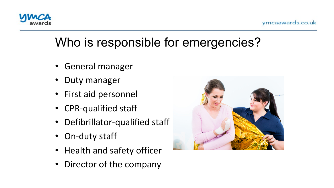

# Who is responsible for emergencies?

- General manager
- Duty manager
- First aid personnel
- CPR-qualified staff
- Defibrillator-qualified staff
- On-duty staff
- Health and safety officer
- Director of the company

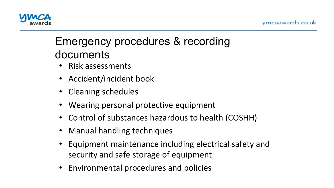

# Emergency procedures & recording documents

- Risk assessments
- Accident/incident book
- Cleaning schedules
- Wearing personal protective equipment
- Control of substances hazardous to health (COSHH)
- Manual handling techniques
- Equipment maintenance including electrical safety and security and safe storage of equipment
- Environmental procedures and policies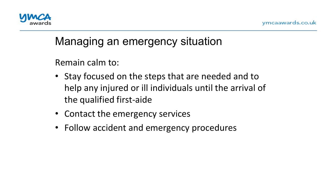

### Managing an emergency situation

Remain calm to:

- Stay focused on the steps that are needed and to help any injured or ill individuals until the arrival of the qualified first-aide
- Contact the emergency services
- Follow accident and emergency procedures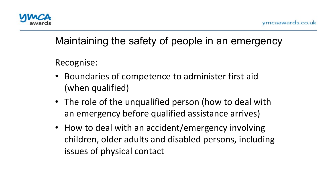

#### Maintaining the safety of people in an emergency

Recognise: 

- Boundaries of competence to administer first aid (when qualified)
- The role of the unqualified person (how to deal with an emergency before qualified assistance arrives)
- How to deal with an accident/emergency involving children, older adults and disabled persons, including issues of physical contact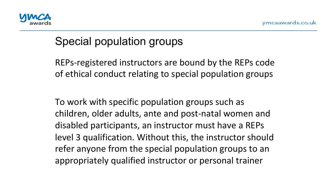

# Special population groups

REPs-registered instructors are bound by the REPs code of ethical conduct relating to special population groups

To work with specific population groups such as children, older adults, ante and post-natal women and disabled participants, an instructor must have a REPs level 3 qualification. Without this, the instructor should refer anyone from the special population groups to an appropriately qualified instructor or personal trainer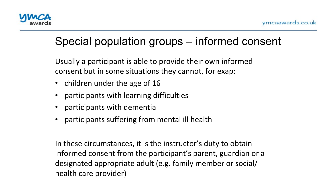

# Special population groups – informed consent

Usually a participant is able to provide their own informed consent but in some situations they cannot, for exap:

- children under the age of 16
- participants with learning difficulties
- participants with dementia
- participants suffering from mental ill health

In these circumstances, it is the instructor's duty to obtain informed consent from the participant's parent, guardian or a designated appropriate adult (e.g. family member or social/ health care provider)